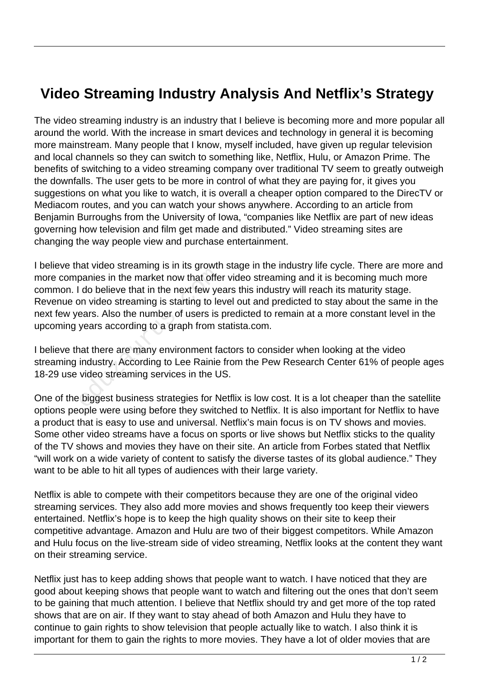## **Video Streaming Industry Analysis And Netflix's Strategy**

The video streaming industry is an industry that I believe is becoming more and more popular all around the world. With the increase in smart devices and technology in general it is becoming more mainstream. Many people that I know, myself included, have given up regular television and local channels so they can switch to something like, Netflix, Hulu, or Amazon Prime. The benefits of switching to a video streaming company over traditional TV seem to greatly outweigh the downfalls. The user gets to be more in control of what they are paying for, it gives you suggestions on what you like to watch, it is overall a cheaper option compared to the DirecTV or Mediacom routes, and you can watch your shows anywhere. According to an article from Benjamin Burroughs from the University of Iowa, "companies like Netflix are part of new ideas governing how television and film get made and distributed." Video streaming sites are changing the way people view and purchase entertainment.

I believe that video streaming is in its growth stage in the industry life cycle. There are more and more companies in the market now that offer video streaming and it is becoming much more common. I do believe that in the next few years this industry will reach its maturity stage. Revenue on video streaming is starting to level out and predicted to stay about the same in the next few years. Also the number of users is predicted to remain at a more constant level in the upcoming years according to a graph from statista.com. banies in the market now that offer<br>do believe that in the next few ye<br>on video streaming is starting to le<br>ears. Also the number of users is<br>years according to a graph from s<br>hat there are many environment fa<br>industry. Ac

I believe that there are many environment factors to consider when looking at the video streaming industry. According to Lee Rainie from the Pew Research Center 61% of people ages 18-29 use video streaming services in the US.

One of the biggest business strategies for Netflix is low cost. It is a lot cheaper than the satellite options people were using before they switched to Netflix. It is also important for Netflix to have a product that is easy to use and universal. Netflix's main focus is on TV shows and movies. Some other video streams have a focus on sports or live shows but Netflix sticks to the quality of the TV shows and movies they have on their site. An article from Forbes stated that Netflix "will work on a wide variety of content to satisfy the diverse tastes of its global audience." They want to be able to hit all types of audiences with their large variety.

Netflix is able to compete with their competitors because they are one of the original video streaming services. They also add more movies and shows frequently too keep their viewers entertained. Netflix's hope is to keep the high quality shows on their site to keep their competitive advantage. Amazon and Hulu are two of their biggest competitors. While Amazon and Hulu focus on the live-stream side of video streaming, Netflix looks at the content they want on their streaming service.

Netflix just has to keep adding shows that people want to watch. I have noticed that they are good about keeping shows that people want to watch and filtering out the ones that don't seem to be gaining that much attention. I believe that Netflix should try and get more of the top rated shows that are on air. If they want to stay ahead of both Amazon and Hulu they have to continue to gain rights to show television that people actually like to watch. I also think it is important for them to gain the rights to more movies. They have a lot of older movies that are